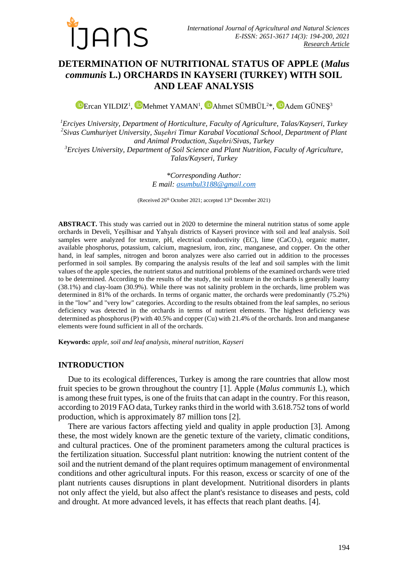

# **DETERMINATION OF NUTRITIONAL STATUS OF APPLE (***Malus communis* **L.) ORCHARDS IN KAYSERI (TURKEY) WITH SOIL AND LEAF ANALYSIS**

ErcanYILDIZ<sup>1</sup>, <sup>ID</sup>Mehmet YAMAN<sup>1</sup>, IDAhmet SÜMBÜL<sup>2\*</sup>, IDAdem GÜNEŞ<sup>3</sup>

*<sup>1</sup>Erciyes University, Department of Horticulture, Faculty of Agriculture, Talas/Kayseri, Turkey 2 Sivas Cumhuriyet University, Suşehri Timur Karabal Vocational School, Department of Plant and Animal Production, Suşehri/Sivas, Turkey*

*<sup>3</sup>Erciyes University, Department of Soil Science and Plant Nutrition, Faculty of Agriculture, Talas/Kayseri, Turkey*

> *\*Corresponding Author: E mail: [asumbul3188@gmail.com](mailto:asumbul3188@gmail.com)*

(Received 26<sup>th</sup> October 2021; accepted 13<sup>th</sup> December 2021)

**ABSTRACT.** This study was carried out in 2020 to determine the mineral nutrition status of some apple orchards in Develi, Yeşilhisar and Yahyalı districts of Kayseri province with soil and leaf analysis. Soil samples were analyzed for texture, pH, electrical conductivity (EC), lime  $(CaCO<sub>3</sub>)$ , organic matter, available phosphorus, potassium, calcium, magnesium, iron, zinc, manganese, and copper. On the other hand, in leaf samples, nitrogen and boron analyzes were also carried out in addition to the processes performed in soil samples. By comparing the analysis results of the leaf and soil samples with the limit values of the apple species, the nutrient status and nutritional problems of the examined orchards were tried to be determined. According to the results of the study, the soil texture in the orchards is generally loamy (38.1%) and clay-loam (30.9%). While there was not salinity problem in the orchards, lime problem was determined in 81% of the orchards. In terms of organic matter, the orchards were predominantly (75.2%) in the "low" and "very low" categories. According to the results obtained from the leaf samples, no serious deficiency was detected in the orchards in terms of nutrient elements. The highest deficiency was determined as phosphorus (P) with 40.5% and copper (Cu) with 21.4% of the orchards. Iron and manganese elements were found sufficient in all of the orchards.

**Keywords:** *apple, soil and leaf analysis, mineral nutrition, Kayseri*

### **INTRODUCTION**

Due to its ecological differences, Turkey is among the rare countries that allow most fruit species to be grown throughout the country [1]. Apple (*Malus communis* L), which is among these fruit types, is one of the fruits that can adapt in the country. For this reason, according to 2019 FAO data, Turkey ranks third in the world with 3.618.752 tons of world production, which is approximately 87 million tons [2].

There are various factors affecting yield and quality in apple production [3]. Among these, the most widely known are the genetic texture of the variety, climatic conditions, and cultural practices. One of the prominent parameters among the cultural practices is the fertilization situation. Successful plant nutrition: knowing the nutrient content of the soil and the nutrient demand of the plant requires optimum management of environmental conditions and other agricultural inputs. For this reason, excess or scarcity of one of the plant nutrients causes disruptions in plant development. Nutritional disorders in plants not only affect the yield, but also affect the plant's resistance to diseases and pests, cold and drought. At more advanced levels, it has effects that reach plant deaths. [4].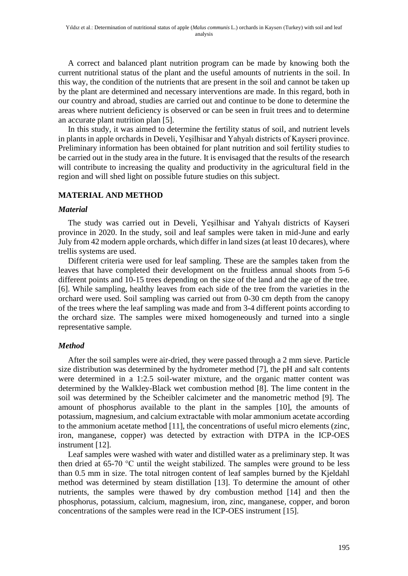A correct and balanced plant nutrition program can be made by knowing both the current nutritional status of the plant and the useful amounts of nutrients in the soil. In this way, the condition of the nutrients that are present in the soil and cannot be taken up by the plant are determined and necessary interventions are made. In this regard, both in our country and abroad, studies are carried out and continue to be done to determine the areas where nutrient deficiency is observed or can be seen in fruit trees and to determine an accurate plant nutrition plan [5].

In this study, it was aimed to determine the fertility status of soil, and nutrient levels in plants in apple orchards in Develi, Yeşilhisar and Yahyalı districts of Kayseri province. Preliminary information has been obtained for plant nutrition and soil fertility studies to be carried out in the study area in the future. It is envisaged that the results of the research will contribute to increasing the quality and productivity in the agricultural field in the region and will shed light on possible future studies on this subject.

## **MATERIAL AND METHOD**

#### *Material*

The study was carried out in Develi, Yeşilhisar and Yahyalı districts of Kayseri province in 2020. In the study, soil and leaf samples were taken in mid-June and early July from 42 modern apple orchards, which differ in land sizes (at least 10 decares), where trellis systems are used.

Different criteria were used for leaf sampling. These are the samples taken from the leaves that have completed their development on the fruitless annual shoots from 5-6 different points and 10-15 trees depending on the size of the land and the age of the tree. [6]. While sampling, healthy leaves from each side of the tree from the varieties in the orchard were used. Soil sampling was carried out from 0-30 cm depth from the canopy of the trees where the leaf sampling was made and from 3-4 different points according to the orchard size. The samples were mixed homogeneously and turned into a single representative sample.

### *Method*

After the soil samples were air-dried, they were passed through a 2 mm sieve. Particle size distribution was determined by the hydrometer method [7], the pH and salt contents were determined in a 1:2.5 soil-water mixture, and the organic matter content was determined by the Walkley-Black wet combustion method [8]. The lime content in the soil was determined by the Scheibler calcimeter and the manometric method [9]. The amount of phosphorus available to the plant in the samples [10], the amounts of potassium, magnesium, and calcium extractable with molar ammonium acetate according to the ammonium acetate method [11], the concentrations of useful micro elements (zinc, iron, manganese, copper) was detected by extraction with DTPA in the ICP-OES instrument [12].

Leaf samples were washed with water and distilled water as a preliminary step. It was then dried at 65-70 °C until the weight stabilized. The samples were ground to be less than 0.5 mm in size. The total nitrogen content of leaf samples burned by the Kjeldahl method was determined by steam distillation [13]. To determine the amount of other nutrients, the samples were thawed by dry combustion method [14] and then the phosphorus, potassium, calcium, magnesium, iron, zinc, manganese, copper, and boron concentrations of the samples were read in the ICP-OES instrument [15].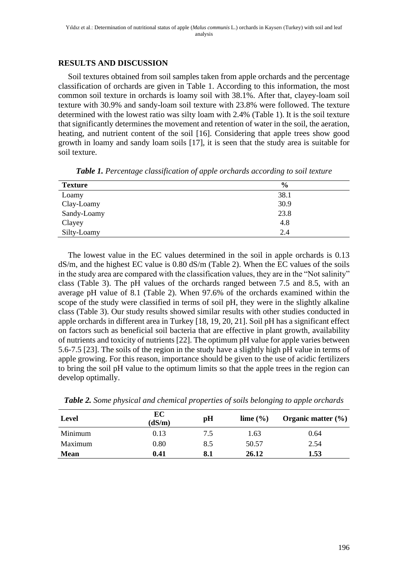## **RESULTS AND DISCUSSION**

Soil textures obtained from soil samples taken from apple orchards and the percentage classification of orchards are given in Table 1. According to this information, the most common soil texture in orchards is loamy soil with 38.1%. After that, clayey-loam soil texture with 30.9% and sandy-loam soil texture with 23.8% were followed. The texture determined with the lowest ratio was silty loam with 2.4% (Table 1). It is the soil texture that significantly determines the movement and retention of water in the soil, the aeration, heating, and nutrient content of the soil [16]. Considering that apple trees show good growth in loamy and sandy loam soils [17], it is seen that the study area is suitable for soil texture.

| <b>Texture</b> | $\frac{6}{9}$ |
|----------------|---------------|
| Loamy          | 38.1          |
| Clay-Loamy     | 30.9          |
| Sandy-Loamy    | 23.8          |
| Clayey         | 4.8           |
| Silty-Loamy    | 2.4           |

*Table 1. Percentage classification of apple orchards according to soil texture*

The lowest value in the EC values determined in the soil in apple orchards is 0.13 dS/m, and the highest EC value is 0.80 dS/m (Table 2). When the EC values of the soils in the study area are compared with the classification values, they are in the "Not salinity" class (Table 3). The pH values of the orchards ranged between 7.5 and 8.5, with an average pH value of 8.1 (Table 2). When 97.6% of the orchards examined within the scope of the study were classified in terms of soil pH, they were in the slightly alkaline class (Table 3). Our study results showed similar results with other studies conducted in apple orchards in different area in Turkey [18, 19, 20, 21]. Soil pH has a significant effect on factors such as beneficial soil bacteria that are effective in plant growth, availability of nutrients and toxicity of nutrients [22]. The optimum pH value for apple varies between 5.6-7.5 [23]. The soils of the region in the study have a slightly high pH value in terms of apple growing. For this reason, importance should be given to the use of acidic fertilizers to bring the soil pH value to the optimum limits so that the apple trees in the region can develop optimally.

| Level       | EC<br>(dS/m) | pH  | lime $(\% )$ | Organic matter $(\% )$ |
|-------------|--------------|-----|--------------|------------------------|
| Minimum     | 0.13         | 7.5 | 1.63         | 0.64                   |
| Maximum     | 0.80         | 8.5 | 50.57        | 2.54                   |
| <b>Mean</b> | 0.41         | 8.1 | 26.12        | 1.53                   |

*Table 2. Some physical and chemical properties of soils belonging to apple orchards*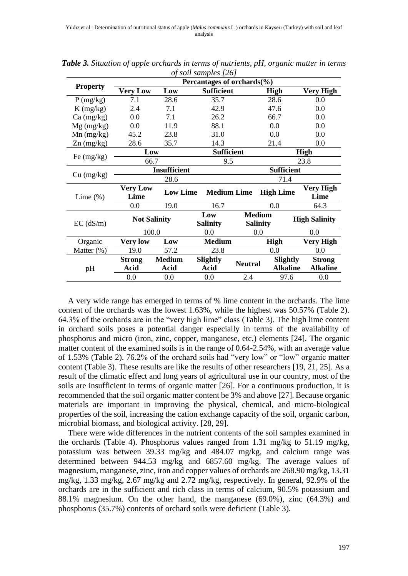|                 | $\sigma$ son samples $\mu$<br>Percantages of orchards $(\%$ |                     |                    |                                                            |                  |                      |  |  |
|-----------------|-------------------------------------------------------------|---------------------|--------------------|------------------------------------------------------------|------------------|----------------------|--|--|
| <b>Property</b> | <b>Very Low</b><br><b>Sufficient</b><br>Low                 |                     | <b>High</b>        |                                                            | <b>Very High</b> |                      |  |  |
| P(mg/kg)        | 7.1                                                         | 28.6                |                    | 35.7                                                       |                  | 0.0                  |  |  |
| $K$ (mg/kg)     | 2.4                                                         | 7.1                 |                    |                                                            | 47.6             | 0.0                  |  |  |
| $Ca$ (mg/kg)    | 0.0                                                         | 7.1                 | 26.2               |                                                            | 66.7             | 0.0                  |  |  |
| $Mg$ (mg/kg)    | 0.0                                                         | 11.9                | 88.1               |                                                            | 0.0              | 0.0                  |  |  |
| $Mn$ (mg/kg)    | 45.2                                                        | 23.8                | 31.0               |                                                            | 0.0              | 0.0                  |  |  |
| $Zn$ (mg/kg)    | 28.6                                                        | 35.7                | 14.3               |                                                            | 21.4             | 0.0                  |  |  |
|                 | Low                                                         |                     | <b>Sufficient</b>  |                                                            |                  | <b>High</b>          |  |  |
| Fe $(mg/kg)$    | 66.7                                                        |                     | 9.5                |                                                            |                  | 23.8                 |  |  |
|                 |                                                             | <b>Insufficient</b> |                    | <b>Sufficient</b>                                          |                  |                      |  |  |
| Cu (mg/kg)      |                                                             | 28.6                | 71.4               |                                                            |                  |                      |  |  |
|                 | <b>Very Low</b>                                             | <b>Low Lime</b>     | <b>Medium Lime</b> |                                                            | <b>High Lime</b> | Very High            |  |  |
| Lime $(\%)$     | Lime                                                        |                     |                    |                                                            |                  | Lime                 |  |  |
|                 | 0.0                                                         | 19.0                | 16.7               |                                                            | 0.0              | 64.3                 |  |  |
| $EC$ (dS/m)     |                                                             | <b>Not Salinity</b> |                    | <b>Medium</b><br>Low<br><b>Salinity</b><br><b>Salinity</b> |                  | <b>High Salinity</b> |  |  |
|                 |                                                             | 100.0               |                    | 0.0<br>0.0                                                 |                  | 0.0                  |  |  |
| Organic         | <b>Very low</b>                                             | Low                 | <b>Medium</b>      |                                                            | <b>High</b>      | Very High            |  |  |
| Matter (%)      | 19.0                                                        | 57.2                | 23.8               |                                                            | 0.0              | 0.0                  |  |  |
| pH              | <b>Strong</b>                                               | <b>Medium</b>       |                    | <b>Neutral</b>                                             | Slightly         | <b>Strong</b>        |  |  |
|                 | Acid                                                        | Acid                | Acid               |                                                            | <b>Alkaline</b>  | <b>Alkaline</b>      |  |  |
|                 | 0.0                                                         | 0.0                 | 0.0                | 2.4                                                        | 97.6             | 0.0                  |  |  |

*Table 3. Situation of apple orchards in terms of nutrients, pH, organic matter in terms of soil samples [26]*

A very wide range has emerged in terms of % lime content in the orchards. The lime content of the orchards was the lowest 1.63%, while the highest was 50.57% (Table 2). 64.3% of the orchards are in the "very high lime" class (Table 3). The high lime content in orchard soils poses a potential danger especially in terms of the availability of phosphorus and micro (iron, zinc, copper, manganese, etc.) elements [24]. The organic matter content of the examined soils is in the range of 0.64-2.54%, with an average value of 1.53% (Table 2). 76.2% of the orchard soils had "very low" or "low" organic matter content (Table 3). These results are like the results of other researchers [19, 21, 25]. As a result of the climatic effect and long years of agricultural use in our country, most of the soils are insufficient in terms of organic matter [26]. For a continuous production, it is recommended that the soil organic matter content be 3% and above [27]. Because organic materials are important in improving the physical, chemical, and micro-biological properties of the soil, increasing the cation exchange capacity of the soil, organic carbon, microbial biomass, and biological activity. [28, 29].

There were wide differences in the nutrient contents of the soil samples examined in the orchards (Table 4). Phosphorus values ranged from 1.31 mg/kg to 51.19 mg/kg, potassium was between 39.33 mg/kg and 484.07 mg/kg, and calcium range was determined between 944.53 mg/kg and 6857.60 mg/kg. The average values of magnesium, manganese, zinc, iron and copper values of orchards are 268.90 mg/kg, 13.31 mg/kg, 1.33 mg/kg, 2.67 mg/kg and 2.72 mg/kg, respectively. In general, 92.9% of the orchards are in the sufficient and rich class in terms of calcium, 90.5% potassium and 88.1% magnesium. On the other hand, the manganese (69.0%), zinc (64.3%) and phosphorus (35.7%) contents of orchard soils were deficient (Table 3).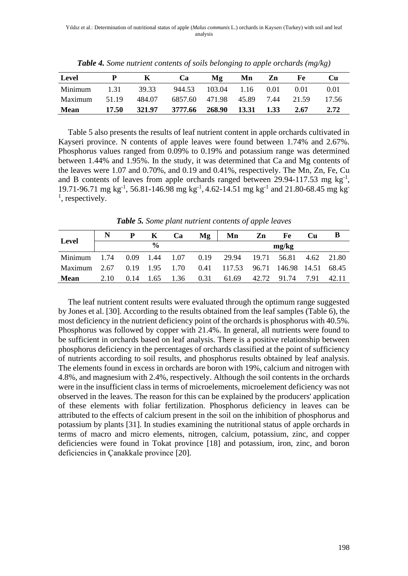| Level       |       |        | <b>Ca</b> | Mg                   | Mn    | Zn   | Fе    | Cu    |
|-------------|-------|--------|-----------|----------------------|-------|------|-------|-------|
| Minimum     | 131   | 39.33  | 944.53    | $103.04$ 1.16 0.01   |       |      | 0.01  | 0.01  |
| Maximum     | 51.19 | 484.07 |           | 6857.60 471.98 45.89 |       | 7.44 | 21.59 | 17.56 |
| <b>Mean</b> | 17.50 | 321.97 | 3777.66   | 268.90               | 13.31 | 1.33 | 2.67  | 2.72  |

*Table 4. Some nutrient contents of soils belonging to apple orchards (mg/kg)*

Table 5 also presents the results of leaf nutrient content in apple orchards cultivated in Kayseri province. N contents of apple leaves were found between 1.74% and 2.67%. Phosphorus values ranged from 0.09% to 0.19% and potassium range was determined between 1.44% and 1.95%. In the study, it was determined that Ca and Mg contents of the leaves were 1.07 and 0.70%, and 0.19 and 0.41%, respectively. The Mn, Zn, Fe, Cu and B contents of leaves from apple orchards ranged between  $29.94-117.53$  mg kg<sup>-1</sup>, 19.71-96.71 mg kg<sup>-1</sup>, 56.81-146.98 mg kg<sup>-1</sup>, 4.62-14.51 mg kg<sup>-1</sup> and 21.80-68.45 mg kg<sup>-1</sup> <sup>1</sup>, respectively.

| Level       |               |      | K                    | Ca   | Mg   | Mn                                   | Zn | Fe                     | Cu   | B     |
|-------------|---------------|------|----------------------|------|------|--------------------------------------|----|------------------------|------|-------|
|             | $\frac{0}{0}$ |      |                      |      |      | mg/kg                                |    |                        |      |       |
| Minimum     | 1.74          |      |                      |      |      | $0.09$ 1.44 1.07 0.19 29.94          |    | 19.71 56.81 4.62 21.80 |      |       |
| Maximum     | 2.67          |      | $0.19$ $1.95$ $1.70$ |      |      | 0.41 117.53 96.71 146.98 14.51 68.45 |    |                        |      |       |
| <b>Mean</b> | 2.10          | 0.14 | 1.65                 | 1.36 | 0.31 | 61.69                                |    | 42.72 91.74            | 7.91 | 42.11 |

*Table 5. Some plant nutrient contents of apple leaves*

The leaf nutrient content results were evaluated through the optimum range suggested by Jones et al. [30]. According to the results obtained from the leaf samples (Table 6), the most deficiency in the nutrient deficiency point of the orchards is phosphorus with 40.5%. Phosphorus was followed by copper with 21.4%. In general, all nutrients were found to be sufficient in orchards based on leaf analysis. There is a positive relationship between phosphorus deficiency in the percentages of orchards classified at the point of sufficiency of nutrients according to soil results, and phosphorus results obtained by leaf analysis. The elements found in excess in orchards are boron with 19%, calcium and nitrogen with 4.8%, and magnesium with 2.4%, respectively. Although the soil contents in the orchards were in the insufficient class in terms of microelements, microelement deficiency was not observed in the leaves. The reason for this can be explained by the producers' application of these elements with foliar fertilization. Phosphorus deficiency in leaves can be attributed to the effects of calcium present in the soil on the inhibition of phosphorus and potassium by plants [31]. In studies examining the nutritional status of apple orchards in terms of macro and micro elements, nitrogen, calcium, potassium, zinc, and copper deficiencies were found in Tokat province [18] and potassium, iron, zinc, and boron deficiencies in Çanakkale province [20].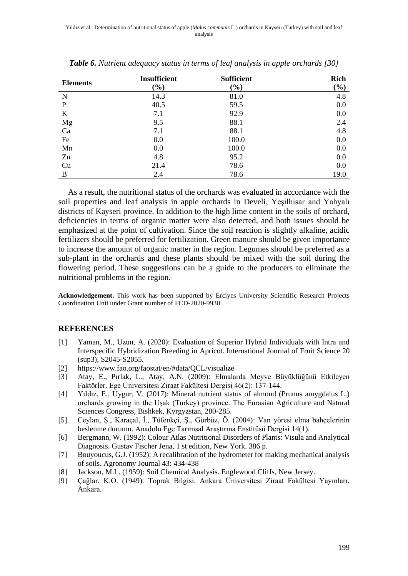| <b>Elements</b> | Insufficient | <b>Sufficient</b> | <b>Rich</b>                  |
|-----------------|--------------|-------------------|------------------------------|
|                 | $(\%)$       | $(\%)$            | $\left( \frac{9}{6} \right)$ |
| N               | 14.3         | 81.0              | 4.8                          |
| P               | 40.5         | 59.5              | 0.0                          |
| K               | 7.1          | 92.9              | 0.0                          |
| Mg              | 9.5          | 88.1              | 2.4                          |
| Ca              | 7.1          | 88.1              | 4.8                          |
| Fe              | 0.0          | 100.0             | 0.0                          |
| Mn              | 0.0          | 100.0             | 0.0                          |
| Zn              | 4.8          | 95.2              | 0.0                          |
| Cu              | 21.4         | 78.6              | 0.0                          |
| B               | 2.4          | 78.6              | 19.0                         |

*Table 6. Nutrient adequacy status in terms of leaf analysis in apple orchards [30]*

As a result, the nutritional status of the orchards was evaluated in accordance with the soil properties and leaf analysis in apple orchards in Develi, Yeşilhisar and Yahyalı districts of Kayseri province. In addition to the high lime content in the soils of orchard, deficiencies in terms of organic matter were also detected, and both issues should be emphasized at the point of cultivation. Since the soil reaction is slightly alkaline, acidic fertilizers should be preferred for fertilization. Green manure should be given importance to increase the amount of organic matter in the region. Legumes should be preferred as a sub-plant in the orchards and these plants should be mixed with the soil during the flowering period. These suggestions can be a guide to the producers to eliminate the nutritional problems in the region.

**Acknowledgement.** This work has been supported by Erciyes University Scientific Research Projects Coordination Unit under Grant number of FCD-2020-9930.

#### **REFERENCES**

- [1] Yaman, M., Uzun, A. (2020): Evaluation of Superior Hybrid Individuals with Intra and Interspecific Hybridization Breeding in Apricot. International Journal of Fruit Science 20 (sup3), S2045-S2055.
- [2] <https://www.fao.org/faostat/en/#data/QCL/visualize>
- [3] Atay, E., Pırlak, L., Atay, A.N. (2009): Elmalarda Meyve Büyüklüğünü Etkileyen Faktörler. Ege Üniversitesi Ziraat Fakültesi Dergisi 46(2): 137-144.
- [4] Yıldız, E., Uygur, V. (2017): Mineral nutrient status of almond (Prunus amygdalus L.) orchards growing in the Uşak (Turkey) province. The Eurasian Agriculture and Natural Sciences Congress, Bishkek, Kyrgyzstan, 280-285.
- [5]. Ceylan, Ş., Karaçal, İ., Tüfenkçi, Ş., Gürbüz, Ö. (2004): Van yöresi elma bahçelerinin beslenme durumu. Anadolu Ege Tarımsal Araştırma Enstitüsü Dergisi 14(1).
- [6] Bergmann, W. (1992): Colour Atlas Nutritional Disorders of Plants: Visula and Analytical Diagnosis. Gustav Fischer Jena, 1 st edition, New York. 386 p.
- [7] Bouyoucus, G.J. (1952): A recalibration of the hydrometer for making mechanical analysis of soils. Agronomy Journal 43: 434-438
- [8] Jackson, M.L. (1959): Soil Chemical Analysis. Englewood Cliffs, New Jersey.
- [9] Çağlar, K.O. (1949): Toprak Bilgisi. Ankara Üniversitesi Ziraat Fakültesi Yayınları, Ankara.